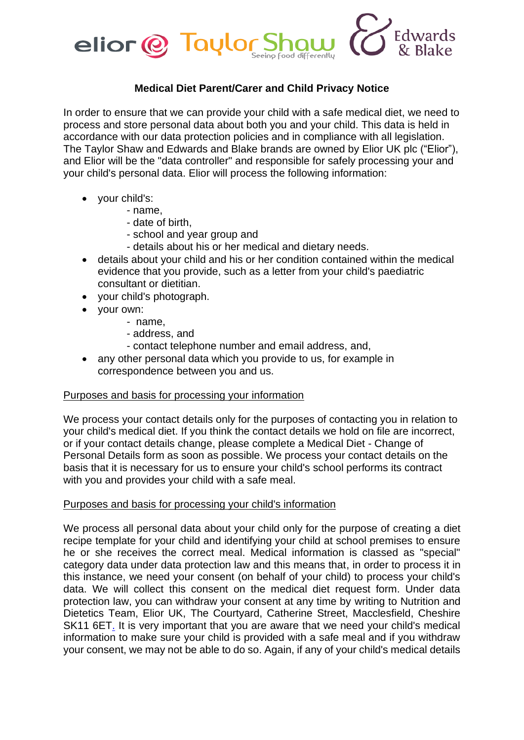

# **Medical Diet Parent/Carer and Child Privacy Notice**

In order to ensure that we can provide your child with a safe medical diet, we need to process and store personal data about both you and your child. This data is held in accordance with our data protection policies and in compliance with all legislation. The Taylor Shaw and Edwards and Blake brands are owned by Elior UK plc ("Elior"), and Elior will be the "data controller" and responsible for safely processing your and your child's personal data. Elior will process the following information:

- your child's:
	- name,
		- date of birth,
		- school and year group and
		- details about his or her medical and dietary needs.
- details about your child and his or her condition contained within the medical evidence that you provide, such as a letter from your child's paediatric consultant or dietitian.
- your child's photograph.
- your own:
	- name,
	- address, and
	- contact telephone number and email address, and,
- any other personal data which you provide to us, for example in correspondence between you and us.

## Purposes and basis for processing your information

We process your contact details only for the purposes of contacting you in relation to your child's medical diet. If you think the contact details we hold on file are incorrect, or if your contact details change, please complete a Medical Diet - Change of Personal Details form as soon as possible. We process your contact details on the basis that it is necessary for us to ensure your child's school performs its contract with you and provides your child with a safe meal.

## Purposes and basis for processing your child's information

We process all personal data about your child only for the purpose of creating a diet recipe template for your child and identifying your child at school premises to ensure he or she receives the correct meal. Medical information is classed as "special" category data under data protection law and this means that, in order to process it in this instance, we need your consent (on behalf of your child) to process your child's data. We will collect this consent on the medical diet request form. Under data protection law, you can withdraw your consent at any time by writing to Nutrition and Dietetics Team, Elior UK, The Courtyard, Catherine Street, Macclesfield, Cheshire SK11 6ET. It is very important that you are aware that we need your child's medical information to make sure your child is provided with a safe meal and if you withdraw your consent, we may not be able to do so. Again, if any of your child's medical details